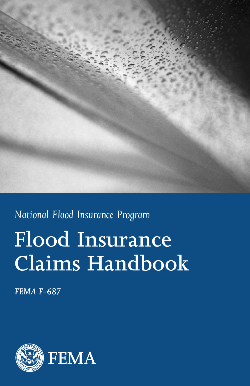

# **Flood Insurance Claims Handbook** *National Flood Insurance Program*

*FEMA F-687*

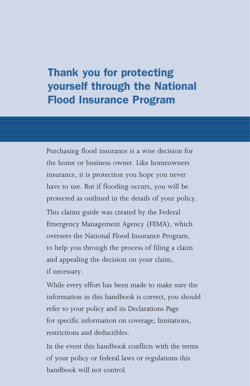## Thank you for protecting yourself through the National Flood Insurance Program

Purchasing flood insurance is a wise decision for the home or business owner. Like homeowners insurance, it is protection you hope you never have to use. But if flooding occurs, you will be protected as outlined in the details of your policy.

This claims guide was created by the Federal Emergency Management Agency (FEMA), which oversees the National Flood Insurance Program, to help you through the process of filing a claim and appealing the decision on your claim, if necessary.

While every effort has been made to make sure the information in this handbook is correct, you should refer to your policy and its Declarations Page for specific information on coverage, limitations, restrictions and deductibles.

In the event this handbook conflicts with the terms of your policy or federal laws or regulations this handbook will not control.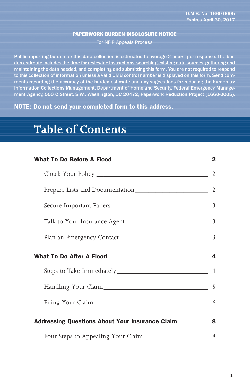#### PAPERWORK BURDEN DISCLOSURE NOTICE

For NFIP Appeals Process

Public reporting burden for this data collection is estimated to average 2 hours per response. The burden estimate includes the time for reviewing instructions, searching existing data sources, gathering and maintaining the data needed, and completing and submitting this form. You are not required to respond to this collection of information unless a valid OMB control number is displayed on this form. Send comments regarding the accuracy of the burden estimate and any suggestions for reducing the burden to: Information Collections Management, Department of Homeland Security, Federal Emergency Management Agency, 500 C Street, S.W., Washington, DC 20472, Paperwork Reduction Project (1660-0005).

NOTE: Do not send your completed form to this address.

### **Table of Contents**

| Addressing Questions About Your Insurance Claim ____________ 8 |  |
|----------------------------------------------------------------|--|
|                                                                |  |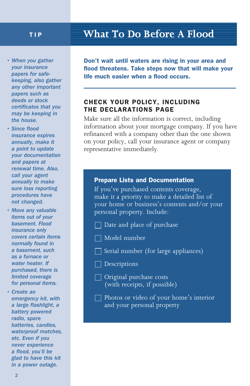- *When you gather your insurance papers for safekeeping, also gather any other important papers such as deeds or stock certificates that you may be keeping in the house.*
- *Since flood insurance expires annually, make it a point to update your documentation and papers at renewal time. Also, call your agent annually to make sure loss reporting procedures have not changed.*
- *Move any valuable items out of your basement. Flood insurance only covers certain items normally found in a basement, such as a furnace or water heater. If purchased, there is limited coverage for personal items.*
- *Create an emergency kit, with a large flashlight, a battery powered radio, spare batteries, candles, waterproof matches, etc. Even if you never experience a flood, you'll be glad to have this kit in a power outage.*

### TIP **What To Do Before A Flood**

Don't wait until waters are rising in your area and flood threatens. Take steps now that will make your life much easier when a flood occurs.

#### CHECK YOUR POLICY, INCLUDING THE DECLARATIONS PAGE

Make sure all the information is correct, including information about your mortgage company. If you have refinanced with a company other than the one shown on your policy, call your insurance agent or company representative immediately.

#### Prepare Lists and Documentation

If you've purchased contents coverage, make it a priority to make a detailed list of your home or business's contents and/or your personal property. Include:

- $\Box$  Date and place of purchase
- Model number
- Serial number (for large appliances)
- Descriptions
- Original purchase costs (with receipts, if possible)
- Photos or video of your home's interior and your personal property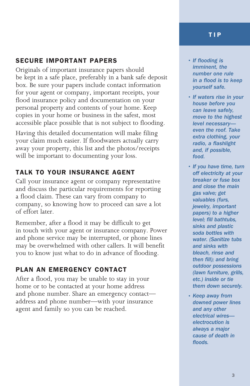#### SECURE IMPORTANT PAPERS

Originals of important insurance papers should be kept in a safe place, preferably in a bank safe deposit box. Be sure your papers include contact information for your agent or company, important receipts, your flood insurance policy and documentation on your personal property and contents of your home. Keep copies in your home or business in the safest, most accessible place possible that is not subject to flooding.

Having this detailed documentation will make filing your claim much easier. If floodwaters actually carry away your property, this list and the photos/receipts will be important to documenting your loss.

### TALK TO YOUR INSURANCE AGENT

Call your insurance agent or company representative and discuss the particular requirements for reporting a flood claim. These can vary from company to company, so knowing how to proceed can save a lot of effort later.

Remember, after a flood it may be difficult to get in touch with your agent or insurance company. Power and phone service may be interrupted, or phone lines may be overwhelmed with other callers. It will benefit you to know just what to do in advance of flooding.

#### PLAN AN EMERGENCY CONTACT

After a flood, you may be unable to stay in your home or to be contacted at your home address and phone number. Share an emergency contact address and phone number—with your insurance agent and family so you can be reached.

- *If flooding is imminent, the number one rule in a flood is to keep yourself safe.*
- *If waters rise in your house before you can leave safely, move to the highest level necessary even the roof. Take extra clothing, your radio, a flashlight and, if possible, food.*
- *• If you have time, turn off electricity at your breaker or fuse box and close the main gas valve; get valuables (furs, jewelry, important papers) to a higher level; fill bathtubs, sinks and plastic soda bottles with water. (Sanitize tubs and sinks with bleach, rinse and then fill); and bring outdoor possessions (lawn furniture, grills, etc.) inside or tie them down securely.*
- *Keep away from downed power lines and any other electrical wires electrocution is always a major cause of death in floods.*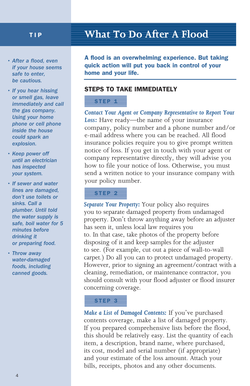### TIP

- *After a flood, even if your house seems safe to enter, be cautious.*
- *If you hear hissing or smell gas, leave immediately and call the gas company. Using your home phone or cell phone inside the house could spark an explosion.*
- *Keep power off until an electrician has inspected your system.*
- *If sewer and water lines are damaged, don't use toilets or sinks. Call a plumber. Until told the water supply is safe, boil water for 5 minutes before drinking it or preparing food.*
- *Throw away water-damaged foods, including canned goods.*

### **What To Do After A Flood**

A flood is an overwhelming experience. But taking quick action will put you back in control of your home and your life.

#### STEPS TO TAKE IMMEDIATELY

#### STEP<sub>1</sub>

*Contact Your Agent or Company Representative to Report Your Loss:* Have ready—the name of your insurance company, policy number and a phone number and/or e-mail address where you can be reached. All flood insurance policies require you to give prompt written notice of loss. If you get in touch with your agent or company representative directly, they will advise you how to file your notice of loss. Otherwise, you must send a written notice to your insurance company with your policy number.

#### STEP<sub>2</sub>

*Separate Your Property:* Your policy also requires you to separate damaged property from undamaged property. Don't throw anything away before an adjuster has seen it, unless local law requires you to. In that case, take photos of the property before disposing of it and keep samples for the adjuster to see. (For example, cut out a piece of wall-to-wall carpet.) Do all you can to protect undamaged property. However, prior to signing an agreement/contract with a cleaning, remediation, or maintenance contractor, you should consult with your flood adjuster or flood insurer concerning coverage.

#### STEP 3

*Make a List of Damaged Contents:* If you've purchased contents coverage, make a list of damaged property. If you prepared comprehensive lists before the flood, this should be relatively easy. List the quantity of each item, a description, brand name, where purchased, its cost, model and serial number (if appropriate) and your estimate of the loss amount. Attach your bills, receipts, photos and any other documents.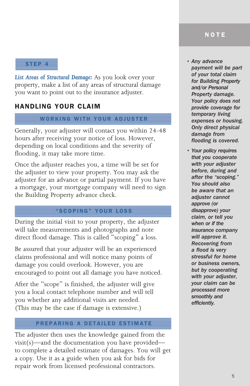STEP 4

*List Areas of Structural Damage:* As you look over your property, make a list of any areas of structural damage you want to point out to the insurance adjuster.

#### HANDLING YOUR CLAIM

#### WORKING WITH YOUR ADJUSTER

Generally, your adjuster will contact you within 24-48 hours after receiving your notice of loss. However, depending on local conditions and the severity of flooding, it may take more time.

Once the adjuster reaches you, a time will be set for the adjuster to view your property. You may ask the adjuster for an advance or partial payment. If you have a mortgage, your mortgage company will need to sign the Building Property advance check.

#### "SCOPING" YOUR LOSS

During the initial visit to your property, the adjuster will take measurements and photographs and note direct flood damage. This is called "scoping" a loss.

Be assured that your adjuster will be an experienced claims professional and will notice many points of damage you could overlook. However, you are encouraged to point out all damage you have noticed.

After the "scope" is finished, the adjuster will give you a local contact telephone number and will tell you whether any additional visits are needed. (This may be the case if damage is extensive.)

#### PREPARING A DETAILED ESTIMATE

The adjuster then uses the knowledge gained from the visit(s)—and the documentation you have provided to complete a detailed estimate of damages. You will get a copy. Use it as a guide when you ask for bids for repair work from licensed professional contractors.

*• Any advance payment will be part of your total claim for Building Property and/or Personal Property damage. Your policy does not provide coverage for temporary living expenses or housing. Only direct physical damage from flooding is covered.*

*• Your policy requires that you cooperate with your adjuster before, during and after the "scoping." You should also be aware that an adjuster cannot approve (or disapprove) your claim, or tell you when or if the insurance company will approve it. Recovering from a flood is very stressful for home or business owners, but by cooperating with your adjuster, your claim can be processed more smoothly and efficiently.*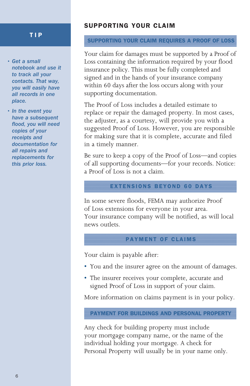#### TIP

- *Get a small notebook and use it to track all your contacts. That way, you will easily have all records in one place.*
- *In the event you have a subsequent flood, you will need copies of your receipts and documentation for all repairs and replacements for this prior loss.*

#### SUPPORTING YOUR CLAIM

#### SUPPORTING YOUR CLAIM REQUIRES A PROOF OF LOSS

Your claim for damages must be supported by a Proof of Loss containing the information required by your flood insurance policy. This must be fully completed and signed and in the hands of your insurance company within 60 days after the loss occurs along with your supporting documentation.

The Proof of Loss includes a detailed estimate to replace or repair the damaged property. In most cases, the adjuster, as a courtesy, will provide you with a suggested Proof of Loss. However, you are responsible for making sure that it is complete, accurate and filed in a timely manner.

Be sure to keep a copy of the Proof of Loss—and copies of all supporting documents—for your records. Notice: a Proof of Loss is not a claim.

#### EXTENSIONS BEYOND 60 DAYS

In some severe floods, FEMA may authorize Proof of Loss extensions for everyone in your area. Your insurance company will be notified, as will local news outlets.

#### PAYMENT OF CLAIMS

Your claim is payable after:

- You and the insurer agree on the amount of damages.
- The insurer receives your complete, accurate and signed Proof of Loss in support of your claim.

More information on claims payment is in your policy.

#### PAYMENT FOR BUILDINGS AND PERSONAL PROPERTY

Any check for building property must include your mortgage company name, or the name of the individual holding your mortgage. A check for Personal Property will usually be in your name only.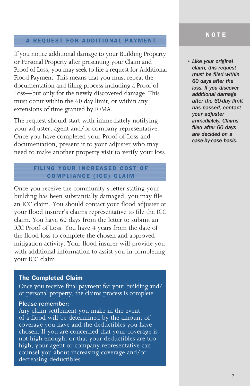#### A REQUEST FOR ADDITIONAL PAYMENT

If you notice additional damage to your Building Property or Personal Property after presenting your Claim and Proof of Loss, you may seek to file a request for Additional Flood Payment. This means that you must repeat the documentation and filing process including a Proof of Loss—but only for the newly discovered damage. This must occur within the 60 day limit, or within any extensions of time granted by FEMA.

The request should start with immediately notifying your adjuster, agent and/or company representative. Once you have completed your Proof of Loss and documentation, present it to your adjuster who may need to make another property visit to verify your loss.

#### FILING YOUR INCREASED COST OF COMPLIANCE (ICC) CLAIM

Once you receive the community's letter stating your building has been substantially damaged, you may file an ICC claim. You should contact your flood adjuster or your flood insurer's claims representative to file the ICC claim. You have 60 days from the letter to submit an ICC Proof of Loss. You have 4 years from the date of the flood loss to complete the chosen and approved mitigation activity. Your flood insurer will provide you with additional information to assist you in completing your ICC claim.

#### The Completed Claim

Once you receive final payment for your building and/ or personal property, the claims process is complete.

#### Please remember:

Any claim settlement you make in the event of a flood will be determined by the amount of coverage you have and the deductibles you have chosen. If you are concerned that your coverage is not high enough, or that your deductibles are too high, your agent or company representative can counsel you about increasing coverage and/or decreasing deductibles.

#### NOTE

*• Like your original claim, this request must be filed within 60 days after the loss. If you discover additional damage after the 60-day limit has passed, contact your adjuster immediately. Claims filed after 60 days are decided on a case-by-case basis.*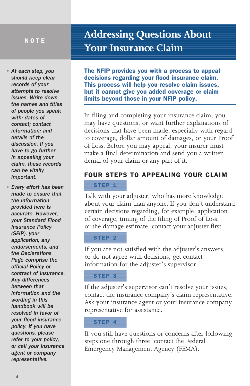*• At each step, you should keep clear records of your attempts to resolve issues. Write down the names and titles of people you speak with; dates of contact; contact information; and details of the discussion. If you have to go further in appealing your claim, these records can be vitally important.*

*• Every effort has been made to ensure that the information provided here is accurate. However, your Standard Flood Insurance Policy (SFIP), your application, any endorsements, and the Declarations Page comprise the official Policy or contract of insurance. Any differences between that information and the wording in this handbook will be resolved in favor of your flood insurance policy. If you have questions, please refer to your policy, or call your insurance agent or company representative.*

### **Addressing Questions About Your Insurance Claim**

The NFIP provides you with a process to appeal decisions regarding your flood insurance claim. This process will help you resolve claim issues, but it cannot give you added coverage or claim limits beyond those in your NFIP policy.

In filing and completing your insurance claim, you may have questions, or want further explanations of decisions that have been made, especially with regard to coverage, dollar amount of damages, or your Proof of Loss. Before you may appeal, your insurer must make a final determination and send you a written denial of your claim or any part of it.

#### FOUR STEPS TO APPEALING YOUR CLAIM

#### STEP<sub>1</sub>

Talk with your adjuster, who has more knowledge about your claim than anyone. If you don't understand certain decisions regarding, for example, application of coverage, timing of the filing of Proof of Loss, or the damage estimate, contact your adjuster first.

#### STEP 2

If you are not satisfied with the adjuster's answers, or do not agree with decisions, get contact information for the adjuster's supervisor.

#### STEP 3

If the adjuster's supervisor can't resolve your issues, contact the insurance company's claim representative. Ask your insurance agent or your insurance company representative for assistance.

#### STEP 4

If you still have questions or concerns after following steps one through three, contact the Federal Emergency Management Agency (FEMA).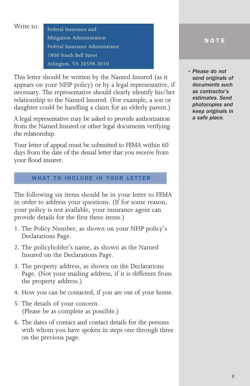Write to: **Federal Insurance and** 

Mitigation Administration Federal Insurance Administrator 1800 South Bell Street Arlington, VA 20598-3010

This letter should be written by the Named Insured (as it appears on your NFIP policy) or by a legal representative, if necessary. The representative should clearly identify his/her relationship to the Named Insured. (For example, a son or daughter could be handling a claim for an elderly parent.)

A legal representative may be asked to provide authorization from the Named Insured or other legal documents verifying the relationship.

Your letter of appeal must be submitted to FEMA within 60 days from the date of the denial letter that you receive from your flood insurer.

#### **WHAT TO INCLUDE IN YOUR LETTER**

The following six items should be in your letter to FEMA in order to address your questions. (If for some reason, your policy is not available, your insurance agent can provide details for the first three items.)

- 1. The Policy Number, as shown on your NFIP policy's Declarations Page.
- 2. The policyholder's name, as shown as the Named Insured on the Declarations Page.
- 3. The property address, as shown on the Declarations Page. (Not your mailing address, if it is different from the property address.)
- 4. How you can be contacted, if you are out of your home.
- 5. The details of your concern. (Please be as complete as possible.)
- 6. The dates of contact and contact details for the persons with whom you have spoken in steps one through three on the previous page.

#### NOTE

*• Please do not send originals of documents such as contractor's estimates. Send photocopies and keep originals in a safe place.*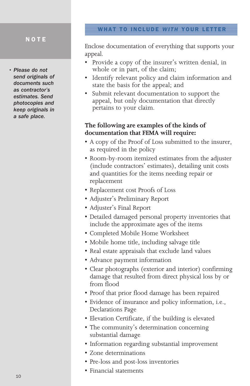*• Please do not send originals of documents such as contractor's estimates. Send photocopies and keep originals in a safe place.* 

#### WHAT TO INCLUDE *WITH* YOUR LETTER

Enclose documentation of everything that supports your appeal.

- Provide a copy of the insurer's written denial, in whole or in part, of the claim;
- Identify relevant policy and claim information and state the basis for the appeal; and
- Submit relevant documentation to support the appeal, but only documentation that directly pertains to your claim.

#### **The following are examples of the kinds of documentation that FEMA will require:**

- A copy of the Proof of Loss submitted to the insurer, as required in the policy
- Room-by-room itemized estimates from the adjuster (include contractors' estimates), detailing unit costs and quantities for the items needing repair or replacement
- Replacement cost Proofs of Loss
- Adjuster's Preliminary Report
- Adjuster's Final Report
- Detailed damaged personal property inventories that include the approximate ages of the items
- Completed Mobile Home Worksheet
- Mobile home title, including salvage title
- Real estate appraisals that exclude land values
- Advance payment information
- Clear photographs (exterior and interior) confirming damage that resulted from direct physical loss by or from flood
- Proof that prior flood damage has been repaired
- Evidence of insurance and policy information, i.e., Declarations Page
- Elevation Certificate, if the building is elevated
- The community's determination concerning substantial damage
- Information regarding substantial improvement
- Zone determinations
- Pre-loss and post-loss inventories
- Financial statements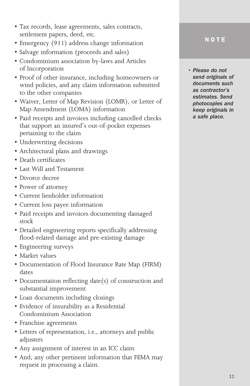- Tax records, lease agreements, sales contracts, settlement papers, deed, etc.
- Emergency (911) address change information
- Salvage information (proceeds and sales)
- Condominium association by-laws and Articles of Incorporation
- Proof of other insurance, including homeowners or wind policies, and any claim information submitted to the other companies
- Waiver, Letter of Map Revision (LOMR), or Letter of Map Amendment (LOMA) information
- Paid receipts and invoices including cancelled checks that support an insured's out-of-pocket expenses pertaining to the claim
- Underwriting decisions
- Architectural plans and drawings
- Death certificates
- Last Will and Testament
- Divorce decree
- Power of attorney
- Current lienholder information
- Current loss payee information
- Paid receipts and invoices documenting damaged stock
- Detailed engineering reports specifically addressing flood-related damage and pre-existing damage
- Engineering surveys
- Market values
- Documentation of Flood Insurance Rate Map (FIRM) dates
- Documentation reflecting date(s) of construction and substantial improvement
- Loan documents including closings
- Evidence of insurability as a Residential Condominium Association
- Franchise agreements
- Letters of representation, i.e., attorneys and public adjusters
- Any assignment of interest in an ICC claim
- And, any other pertinent information that FEMA may request in processing a claim.

*• Please do not send originals of documents such as contractor's estimates. Send photocopies and keep originals in a safe place.*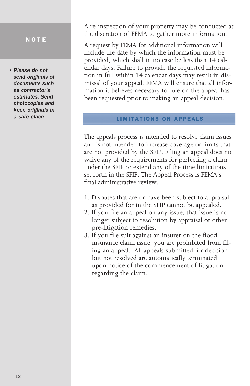*• Please do not send originals of documents such as contractor's estimates. Send photocopies and keep originals in a safe place.* 

A re-inspection of your property may be conducted at the discretion of FEMA to gather more information.

A request by FEMA for additional information will include the date by which the information must be provided, which shall in no case be less than 14 calendar days. Failure to provide the requested information in full within 14 calendar days may result in dismissal of your appeal. FEMA will ensure that all information it believes necessary to rule on the appeal has been requested prior to making an appeal decision.

#### LIMITATIONS ON APPEALS

The appeals process is intended to resolve claim issues and is not intended to increase coverage or limits that are not provided by the SFIP. Filing an appeal does not waive any of the requirements for perfecting a claim under the SFIP or extend any of the time limitations set forth in the SFIP. The Appeal Process is FEMA's final administrative review.

- 1. Disputes that are or have been subject to appraisal as provided for in the SFIP cannot be appealed.
- 2. If you file an appeal on any issue, that issue is no longer subject to resolution by appraisal or other pre-litigation remedies.
- 3. If you file suit against an insurer on the flood insurance claim issue, you are prohibited from filing an appeal. All appeals submitted for decision but not resolved are automatically terminated upon notice of the commencement of litigation regarding the claim.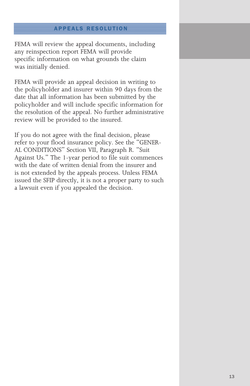#### APPEALS RESOLUTION

FEMA will review the appeal documents, including any reinspection report FEMA will provide specific information on what grounds the claim was initially denied.

FEMA will provide an appeal decision in writing to the policyholder and insurer within 90 days from the date that all information has been submitted by the policyholder and will include specific information for the resolution of the appeal. No further administrative review will be provided to the insured.

If you do not agree with the final decision, please refer to your flood insurance policy. See the "GENER-AL CONDITIONS" Section VII, Paragraph R. "Suit Against Us." The 1-year period to file suit commences with the date of written denial from the insurer and is not extended by the appeals process. Unless FEMA issued the SFIP directly, it is not a proper party to such a lawsuit even if you appealed the decision.